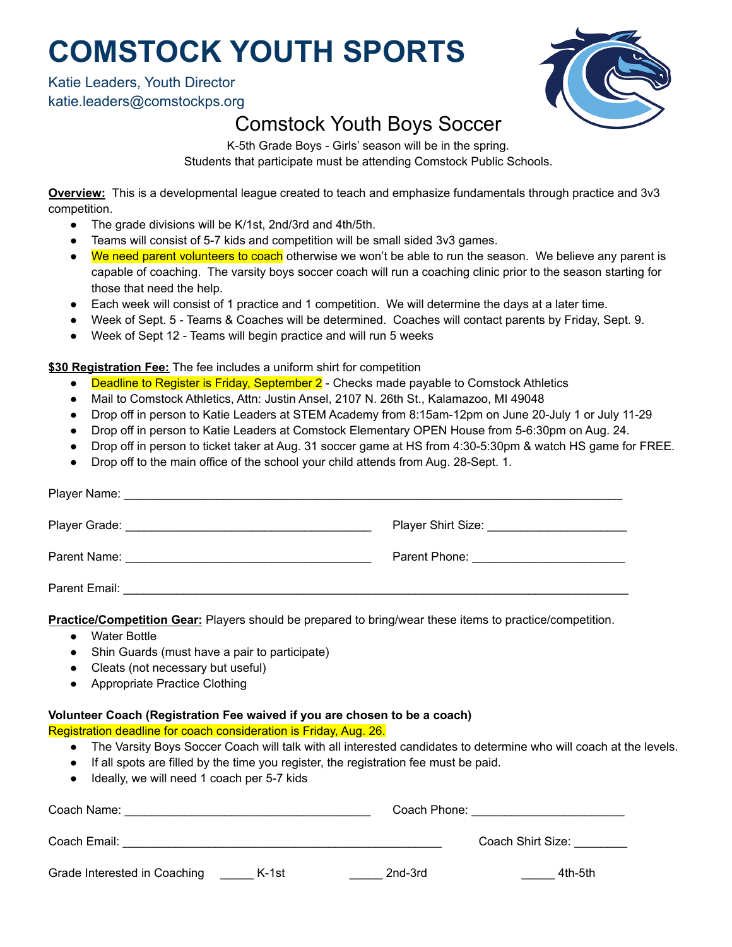# **COMSTOCK YOUTH SPORTS**

### Katie Leaders, Youth Director katie.leaders@comstockps.org



### Comstock Youth Boys Soccer

K-5th Grade Boys - Girls' season will be in the spring. Students that participate must be attending Comstock Public Schools.

**Overview:** This is a developmental league created to teach and emphasize fundamentals through practice and 3v3 competition.

- The grade divisions will be K/1st, 2nd/3rd and 4th/5th.
- Teams will consist of 5-7 kids and competition will be small sided 3v3 games.
- We need parent volunteers to coach otherwise we won't be able to run the season. We believe any parent is capable of coaching. The varsity boys soccer coach will run a coaching clinic prior to the season starting for those that need the help.
- Each week will consist of 1 practice and 1 competition. We will determine the days at a later time.
- Week of Sept. 5 Teams & Coaches will be determined. Coaches will contact parents by Friday, Sept. 9.
- Week of Sept 12 Teams will begin practice and will run 5 weeks

#### **\$30 Registration Fee:** The fee includes a uniform shirt for competition

- Deadline to Register is Friday, September 2 Checks made payable to Comstock Athletics
- Mail to Comstock Athletics, Attn: Justin Ansel, 2107 N. 26th St., Kalamazoo, MI 49048
- Drop off in person to Katie Leaders at STEM Academy from 8:15am-12pm on June 20-July 1 or July 11-29
- Drop off in person to Katie Leaders at Comstock Elementary OPEN House from 5-6:30pm on Aug. 24.
- Drop off in person to ticket taker at Aug. 31 soccer game at HS from 4:30-5:30pm & watch HS game for FREE.
- Drop off to the main office of the school your child attends from Aug. 28-Sept. 1.

|                                                                                                                 | Player Shirt Size: __________________________ |  |  |
|-----------------------------------------------------------------------------------------------------------------|-----------------------------------------------|--|--|
|                                                                                                                 |                                               |  |  |
|                                                                                                                 |                                               |  |  |
| <b>Practice/Competition Gear:</b> Players should be prepared to bring/wear these items to practice/competition. |                                               |  |  |

- Water Bottle
- Shin Guards (must have a pair to participate)
- Cleats (not necessary but useful)
- Appropriate Practice Clothing

#### **Volunteer Coach (Registration Fee waived if you are chosen to be a coach)**

Registration deadline for coach consideration is Friday, Aug. 26.

- The Varsity Boys Soccer Coach will talk with all interested candidates to determine who will coach at the levels.
- If all spots are filled by the time you register, the registration fee must be paid.
- Ideally, we will need 1 coach per 5-7 kids

| Coach Name:                  |       |         | Coach Phone:      |  |
|------------------------------|-------|---------|-------------------|--|
| Coach Email:                 |       |         | Coach Shirt Size: |  |
| Grade Interested in Coaching | K-1st | 2nd-3rd | 4th-5th           |  |